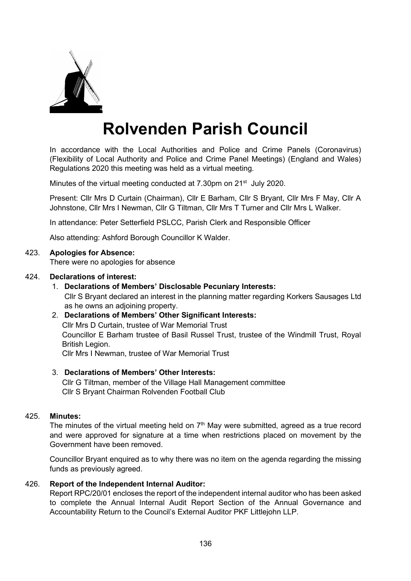

# **Rolvenden Parish Council**

In accordance with the Local Authorities and Police and Crime Panels (Coronavirus) (Flexibility of Local Authority and Police and Crime Panel Meetings) (England and Wales) Regulations 2020 this meeting was held as a virtual meeting.

Minutes of the virtual meeting conducted at 7.30pm on 21<sup>st</sup> July 2020.

Present: Cllr Mrs D Curtain (Chairman), Cllr E Barham, Cllr S Bryant, Cllr Mrs F May, Cllr A Johnstone, Cllr Mrs I Newman, Cllr G Tiltman, Cllr Mrs T Turner and Cllr Mrs L Walker.

In attendance: Peter Setterfield PSLCC, Parish Clerk and Responsible Officer

Also attending: Ashford Borough Councillor K Walder.

## 423. **Apologies for Absence:**

There were no apologies for absence

#### 424. **Declarations of interest:**

1. **Declarations of Members' Disclosable Pecuniary Interests:**

Cllr S Bryant declared an interest in the planning matter regarding Korkers Sausages Ltd as he owns an adjoining property.

#### 2. **Declarations of Members' Other Significant Interests:**

Cllr Mrs D Curtain, trustee of War Memorial Trust

Councillor E Barham trustee of Basil Russel Trust, trustee of the Windmill Trust, Royal British Legion.

Cllr Mrs I Newman, trustee of War Memorial Trust

#### 3. **Declarations of Members' Other Interests:**

Cllr G Tiltman, member of the Village Hall Management committee Cllr S Bryant Chairman Rolvenden Football Club

#### 425. **Minutes:**

The minutes of the virtual meeting held on  $7<sup>th</sup>$  May were submitted, agreed as a true record and were approved for signature at a time when restrictions placed on movement by the Government have been removed.

Councillor Bryant enquired as to why there was no item on the agenda regarding the missing funds as previously agreed.

#### 426. **Report of the Independent Internal Auditor:**

Report RPC/20/01 encloses the report of the independent internal auditor who has been asked to complete the Annual Internal Audit Report Section of the Annual Governance and Accountability Return to the Council's External Auditor PKF Littlejohn LLP.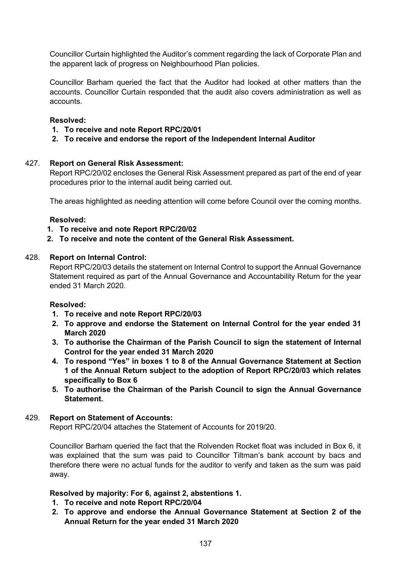Councillor Curtain highlighted the Auditor's comment regarding the lack of Corporate Plan and the apparent lack of progress on Neighbourhood Plan policies.

Councillor Barham queried the fact that the Auditor had looked at other matters than the accounts. Councillor Curtain responded that the audit also covers administration as well as accounts.

## **Resolved:**

- **1. To receive and note Report RPC/20/01**
- **2. To receive and endorse the report of the Independent Internal Auditor**

## 427. **Report on General Risk Assessment:**

Report RPC/20/02 encloses the General Risk Assessment prepared as part of the end of year procedures prior to the internal audit being carried out.

The areas highlighted as needing attention will come before Council over the coming months.

#### **Resolved:**

## **1. To receive and note Report RPC/20/02**

**2. To receive and note the content of the General Risk Assessment.**

#### 428. **Report on Internal Control:**

Report RPC/20/03 details the statement on Internal Control to support the Annual Governance Statement required as part of the Annual Governance and Accountability Return for the year ended 31 March 2020.

#### **Resolved:**

- **1. To receive and note Report RPC/20/03**
- **2. To approve and endorse the Statement on Internal Control for the year ended 31 March 2020**
- **3. To authorise the Chairman of the Parish Council to sign the statement of Internal Control for the year ended 31 March 2020**
- **4. To respond "Yes" in boxes 1 to 8 of the Annual Governance Statement at Section 1 of the Annual Return subject to the adoption of Report RPC/20/03 which relates specifically to Box 6**
- **5. To authorise the Chairman of the Parish Council to sign the Annual Governance Statement.**

#### 429. **Report on Statement of Accounts:**

Report RPC/20/04 attaches the Statement of Accounts for 2019/20.

Councillor Barham queried the fact that the Rolvenden Rocket float was included in Box 6, it was explained that the sum was paid to Councillor Tiltman's bank account by bacs and therefore there were no actual funds for the auditor to verify and taken as the sum was paid away.

#### **Resolved by majority: For 6, against 2, abstentions 1.**

- **1. To receive and note Report RPC/20/04**
- **2. To approve and endorse the Annual Governance Statement at Section 2 of the Annual Return for the year ended 31 March 2020**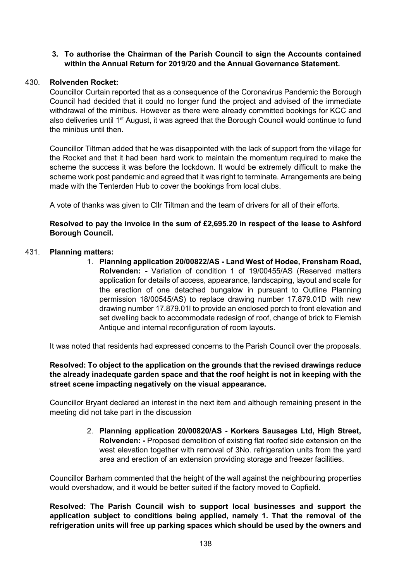## **3. To authorise the Chairman of the Parish Council to sign the Accounts contained within the Annual Return for 2019/20 and the Annual Governance Statement.**

## 430. **Rolvenden Rocket:**

Councillor Curtain reported that as a consequence of the Coronavirus Pandemic the Borough Council had decided that it could no longer fund the project and advised of the immediate withdrawal of the minibus. However as there were already committed bookings for KCC and also deliveries until 1<sup>st</sup> August, it was agreed that the Borough Council would continue to fund the minibus until then.

Councillor Tiltman added that he was disappointed with the lack of support from the village for the Rocket and that it had been hard work to maintain the momentum required to make the scheme the success it was before the lockdown. It would be extremely difficult to make the scheme work post pandemic and agreed that it was right to terminate. Arrangements are being made with the Tenterden Hub to cover the bookings from local clubs.

A vote of thanks was given to Cllr Tiltman and the team of drivers for all of their efforts.

## **Resolved to pay the invoice in the sum of £2,695.20 in respect of the lease to Ashford Borough Council.**

#### 431. **Planning matters:**

1. **Planning application 20/00822/AS - Land West of Hodee, Frensham Road, Rolvenden: -** Variation of condition 1 of 19/00455/AS (Reserved matters application for details of access, appearance, landscaping, layout and scale for the erection of one detached bungalow in pursuant to Outline Planning permission 18/00545/AS) to replace drawing number 17.879.01D with new drawing number 17.879.01l to provide an enclosed porch to front elevation and set dwelling back to accommodate redesign of roof, change of brick to Flemish Antique and internal reconfiguration of room layouts.

It was noted that residents had expressed concerns to the Parish Council over the proposals.

## **Resolved: To object to the application on the grounds that the revised drawings reduce the already inadequate garden space and that the roof height is not in keeping with the street scene impacting negatively on the visual appearance.**

Councillor Bryant declared an interest in the next item and although remaining present in the meeting did not take part in the discussion

> 2. **Planning application 20/00820/AS - Korkers Sausages Ltd, High Street, Rolvenden: -** Proposed demolition of existing flat roofed side extension on the west elevation together with removal of 3No. refrigeration units from the yard area and erection of an extension providing storage and freezer facilities.

Councillor Barham commented that the height of the wall against the neighbouring properties would overshadow, and it would be better suited if the factory moved to Copfield.

**Resolved: The Parish Council wish to support local businesses and support the application subject to conditions being applied, namely 1. That the removal of the refrigeration units will free up parking spaces which should be used by the owners and**